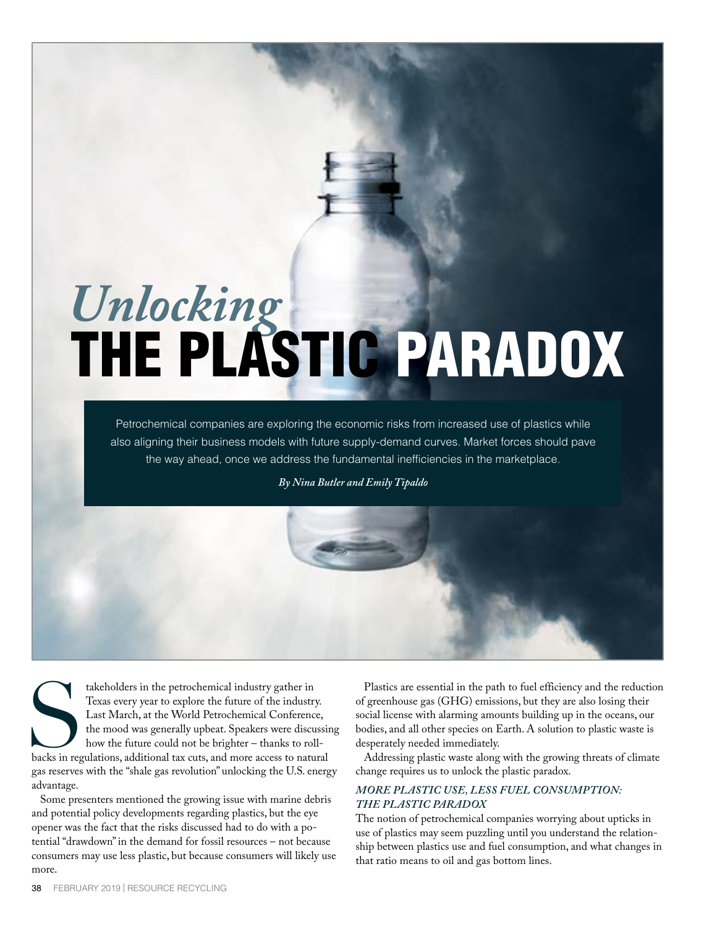# *Unlocking* THE PLASTIC PARADOX

Petrochemical companies are exploring the economic risks from increased use of plastics while also aligning their business models with future supply-demand curves. Market forces should pave the way ahead, once we address the fundamental inefficiencies in the marketplace.

*By Nina Butler and Emily Tipaldo*



takeholders in the petrochemical industry gather in Texas every year to explore the future of the industry.<br>Last March, at the World Petrochemical Conference, the mood was generally upbeat. Speakers were discussiin how the Texas every year to explore the future of the industry. Last March, at the World Petrochemical Conference, the mood was generally upbeat. Speakers were discussing how the future could not be brighter – thanks to rollgas reserves with the "shale gas revolution" unlocking the U.S. energy advantage.

Some presenters mentioned the growing issue with marine debris and potential policy developments regarding plastics, but the eye opener was the fact that the risks discussed had to do with a potential "drawdown" in the demand for fossil resources – not because consumers may use less plastic, but because consumers will likely use more.

Plastics are essential in the path to fuel efficiency and the reduction of greenhouse gas (GHG) emissions, but they are also losing their social license with alarming amounts building up in the oceans, our bodies, and all other species on Earth. A solution to plastic waste is desperately needed immediately.

Addressing plastic waste along with the growing threats of climate change requires us to unlock the plastic paradox.

### *MORE PLASTIC USE, LESS FUEL CONSUMPTION: THE PLASTIC PARADOX*

The notion of petrochemical companies worrying about upticks in use of plastics may seem puzzling until you understand the relationship between plastics use and fuel consumption, and what changes in that ratio means to oil and gas bottom lines.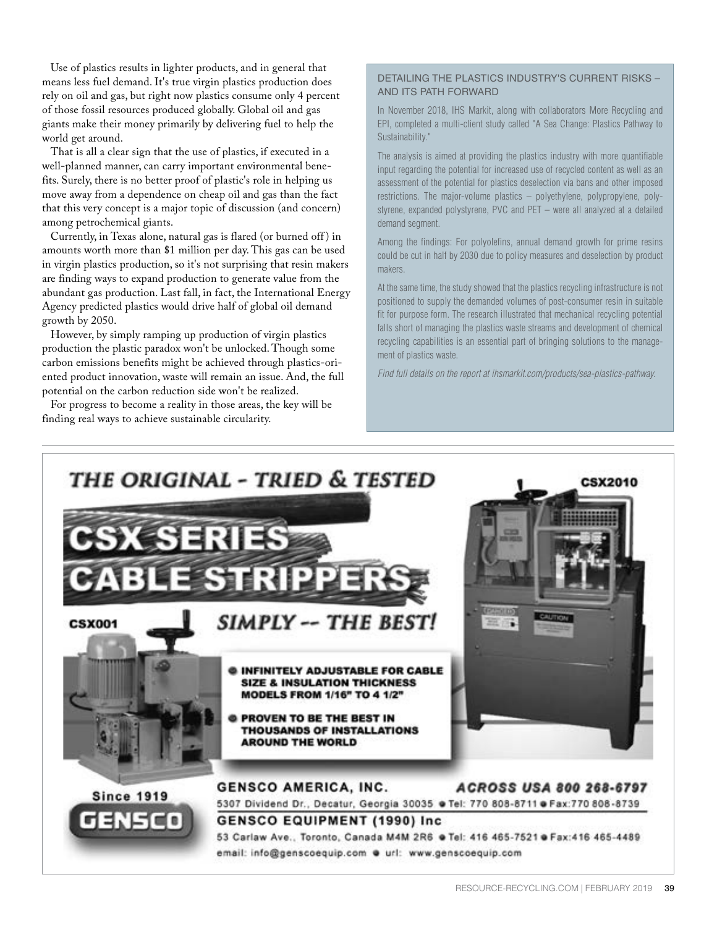Use of plastics results in lighter products, and in general that means less fuel demand. It's true virgin plastics production does rely on oil and gas, but right now plastics consume only 4 percent of those fossil resources produced globally. Global oil and gas giants make their money primarily by delivering fuel to help the world get around.

That is all a clear sign that the use of plastics, if executed in a well-planned manner, can carry important environmental benefits. Surely, there is no better proof of plastic's role in helping us move away from a dependence on cheap oil and gas than the fact that this very concept is a major topic of discussion (and concern) among petrochemical giants.

Currently, in Texas alone, natural gas is flared (or burned off) in amounts worth more than \$1 million per day. This gas can be used in virgin plastics production, so it's not surprising that resin makers are finding ways to expand production to generate value from the abundant gas production. Last fall, in fact, the International Energy Agency predicted plastics would drive half of global oil demand growth by 2050.

However, by simply ramping up production of virgin plastics production the plastic paradox won't be unlocked. Though some carbon emissions benefits might be achieved through plastics-oriented product innovation, waste will remain an issue. And, the full potential on the carbon reduction side won't be realized.

For progress to become a reality in those areas, the key will be finding real ways to achieve sustainable circularity.

#### DETAILING THE PLASTICS INDUSTRY'S CURRENT RISKS – AND ITS PATH FORWARD

In November 2018, IHS Markit, along with collaborators More Recycling and EPI, completed a multi-client study called "A Sea Change: Plastics Pathway to Sustainability."

The analysis is aimed at providing the plastics industry with more quantifiable input regarding the potential for increased use of recycled content as well as an assessment of the potential for plastics deselection via bans and other imposed restrictions. The major-volume plastics – polyethylene, polypropylene, polystyrene, expanded polystyrene, PVC and PET – were all analyzed at a detailed demand segment.

Among the findings: For polyolefins, annual demand growth for prime resins could be cut in half by 2030 due to policy measures and deselection by product makers.

At the same time, the study showed that the plastics recycling infrastructure is not positioned to supply the demanded volumes of post-consumer resin in suitable fit for purpose form. The research illustrated that mechanical recycling potential falls short of managing the plastics waste streams and development of chemical recycling capabilities is an essential part of bringing solutions to the management of plastics waste.

*Find full details on the report at ihsmarkit.com/products/sea-plastics-pathway.*

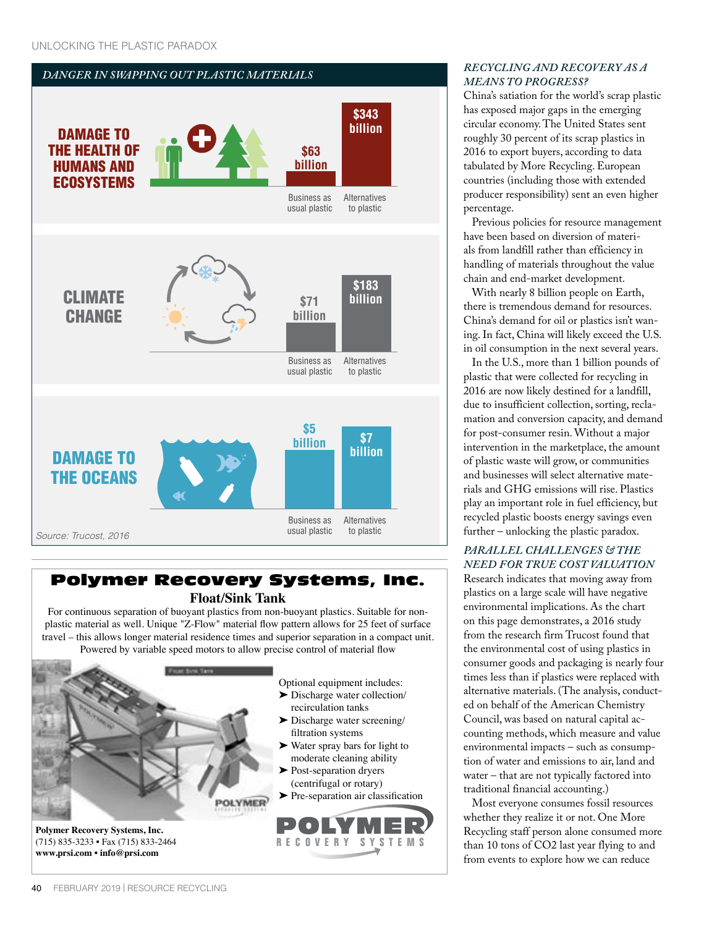

# Polymer Recovery Systems, Inc. **Float/Sink Tank**

For continuous separation of buoyant plastics from non-buoyant plastics. Suitable for nonplastic material as well. Unique "Z-Flow" material fow pattern allows for 25 feet of surface travel – this allows longer material residence times and superior separation in a compact unit. Powered by variable speed motors to allow precise control of material flow



## *RECYCLING AND RECOVERY AS A MEANS TO PROGRESS?*

China's satiation for the world's scrap plastic has exposed major gaps in the emerging circular economy. The United States sent roughly 30 percent of its scrap plastics in 2016 to export buyers, according to data tabulated by More Recycling. European countries (including those with extended producer responsibility) sent an even higher percentage.

Previous policies for resource management have been based on diversion of materials from landfill rather than efficiency in handling of materials throughout the value chain and end-market development.

With nearly 8 billion people on Earth, there is tremendous demand for resources. China's demand for oil or plastics isn't waning. In fact, China will likely exceed the U.S. in oil consumption in the next several years.

In the U.S., more than 1 billion pounds of plastic that were collected for recycling in 2016 are now likely destined for a landfill, due to insufficient collection, sorting, reclamation and conversion capacity, and demand for post-consumer resin. Without a major intervention in the marketplace, the amount of plastic waste will grow, or communities and businesses will select alternative materials and GHG emissions will rise. Plastics play an important role in fuel efficiency, but recycled plastic boosts energy savings even further – unlocking the plastic paradox.

# *PARALLEL CHALLENGES & THE NEED FOR TRUE COST VALUATION*

Research indicates that moving away from plastics on a large scale will have negative environmental implications. As the chart on this page demonstrates, a 2016 study from the research firm Trucost found that the environmental cost of using plastics in consumer goods and packaging is nearly four times less than if plastics were replaced with alternative materials. (The analysis, conducted on behalf of the American Chemistry Council, was based on natural capital accounting methods, which measure and value environmental impacts – such as consumption of water and emissions to air, land and water – that are not typically factored into traditional financial accounting.)

Most everyone consumes fossil resources whether they realize it or not. One More Recycling staff person alone consumed more than 10 tons of CO2 last year flying to and from events to explore how we can reduce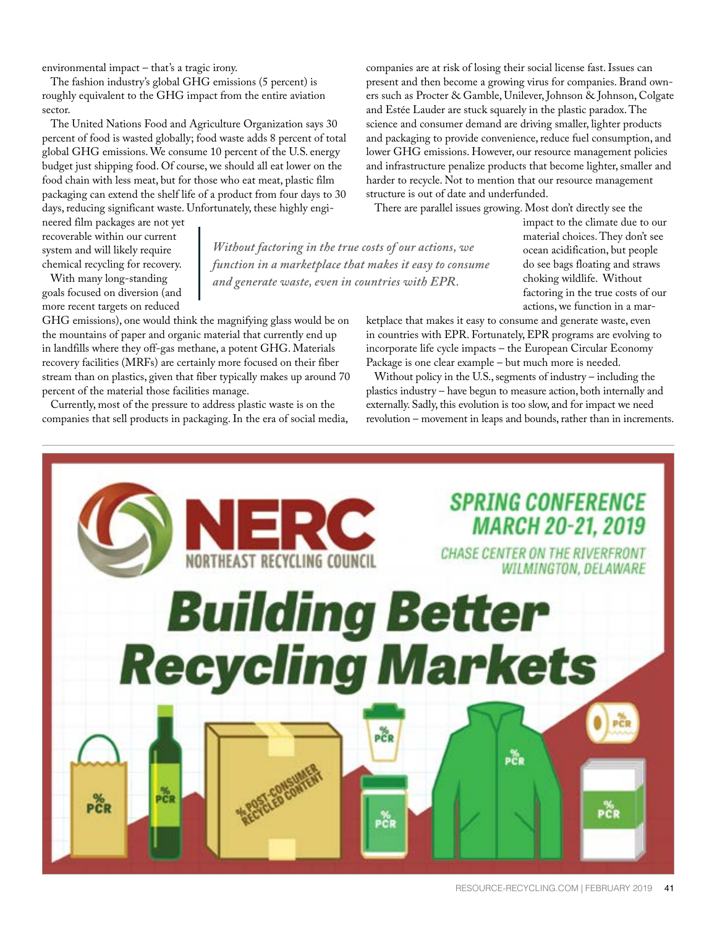environmental impact – that's a tragic irony.

The fashion industry's global GHG emissions (5 percent) is roughly equivalent to the GHG impact from the entire aviation sector.

The United Nations Food and Agriculture Organization says 30 percent of food is wasted globally; food waste adds 8 percent of total global GHG emissions. We consume 10 percent of the U.S. energy budget just shipping food. Of course, we should all eat lower on the food chain with less meat, but for those who eat meat, plastic film packaging can extend the shelf life of a product from four days to 30 days, reducing significant waste. Unfortunately, these highly engi-

neered film packages are not yet recoverable within our current system and will likely require chemical recycling for recovery.

With many long-standing goals focused on diversion (and more recent targets on reduced

GHG emissions), one would think the magnifying glass would be on the mountains of paper and organic material that currently end up in landfills where they off-gas methane, a potent GHG. Materials recovery facilities (MRFs) are certainly more focused on their fiber stream than on plastics, given that fiber typically makes up around 70 percent of the material those facilities manage.

Currently, most of the pressure to address plastic waste is on the companies that sell products in packaging. In the era of social media, companies are at risk of losing their social license fast. Issues can present and then become a growing virus for companies. Brand owners such as Procter & Gamble, Unilever, Johnson & Johnson, Colgate and Estée Lauder are stuck squarely in the plastic paradox. The science and consumer demand are driving smaller, lighter products and packaging to provide convenience, reduce fuel consumption, and lower GHG emissions. However, our resource management policies and infrastructure penalize products that become lighter, smaller and harder to recycle. Not to mention that our resource management structure is out of date and underfunded.

There are parallel issues growing. Most don't directly see the

impact to the climate due to our material choices. They don't see ocean acidification, but people do see bags floating and straws choking wildlife. Without factoring in the true costs of our actions, we function in a mar-

ketplace that makes it easy to consume and generate waste, even in countries with EPR. Fortunately, EPR programs are evolving to incorporate life cycle impacts – the European Circular Economy Package is one clear example – but much more is needed.

Without policy in the U.S., segments of industry – including the plastics industry – have begun to measure action, both internally and externally. Sadly, this evolution is too slow, and for impact we need revolution – movement in leaps and bounds, rather than in increments.



*Without factoring in the true costs of our actions, we function in a marketplace that makes it easy to consume and generate waste, even in countries with EPR.*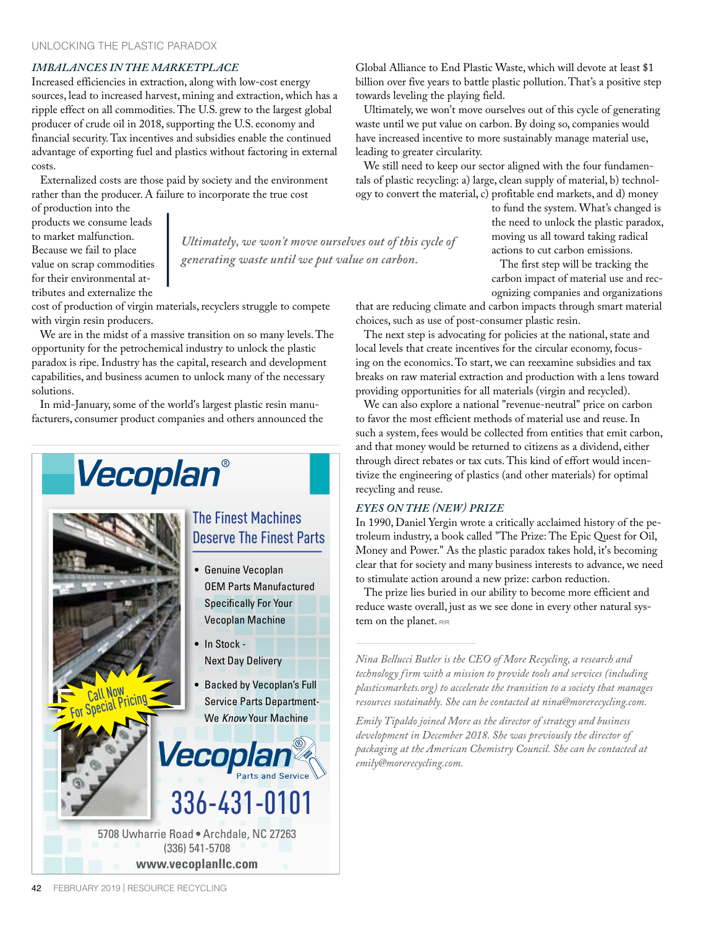### *IMBALANCES IN THE MARKETPLACE*

Increased efficiencies in extraction, along with low-cost energy sources, lead to increased harvest, mining and extraction, which has a ripple effect on all commodities. The U.S. grew to the largest global producer of crude oil in 2018, supporting the U.S. economy and financial security. Tax incentives and subsidies enable the continued advantage of exporting fuel and plastics without factoring in external costs.

Externalized costs are those paid by society and the environment rather than the producer. A failure to incorporate the true cost

of production into the products we consume leads to market malfunction. Because we fail to place value on scrap commodities for their environmental attributes and externalize the

*Ultimately, we won't move ourselves out of this cycle of generating waste until we put value on carbon.*

cost of production of virgin materials, recyclers struggle to compete with virgin resin producers.

We are in the midst of a massive transition on so many levels. The opportunity for the petrochemical industry to unlock the plastic paradox is ripe. Industry has the capital, research and development capabilities, and business acumen to unlock many of the necessary solutions.

In mid-January, some of the world's largest plastic resin manufacturers, consumer product companies and others announced the



Global Alliance to End Plastic Waste, which will devote at least \$1 billion over five years to battle plastic pollution. That's a positive step towards leveling the playing field.

Ultimately, we won't move ourselves out of this cycle of generating waste until we put value on carbon. By doing so, companies would have increased incentive to more sustainably manage material use, leading to greater circularity.

We still need to keep our sector aligned with the four fundamentals of plastic recycling: a) large, clean supply of material, b) technology to convert the material, c) profitable end markets, and d) money

to fund the system. What's changed is the need to unlock the plastic paradox, moving us all toward taking radical actions to cut carbon emissions.

The first step will be tracking the carbon impact of material use and recognizing companies and organizations

that are reducing climate and carbon impacts through smart material choices, such as use of post-consumer plastic resin.

The next step is advocating for policies at the national, state and local levels that create incentives for the circular economy, focusing on the economics. To start, we can reexamine subsidies and tax breaks on raw material extraction and production with a lens toward providing opportunities for all materials (virgin and recycled).

We can also explore a national "revenue-neutral" price on carbon to favor the most efficient methods of material use and reuse. In such a system, fees would be collected from entities that emit carbon, and that money would be returned to citizens as a dividend, either through direct rebates or tax cuts. This kind of effort would incentivize the engineering of plastics (and other materials) for optimal recycling and reuse.

### *EYES ON THE (NEW) PRIZE*

In 1990, Daniel Yergin wrote a critically acclaimed history of the petroleum industry, a book called "The Prize: The Epic Quest for Oil, Money and Power." As the plastic paradox takes hold, it's becoming clear that for society and many business interests to advance, we need to stimulate action around a new prize: carbon reduction.

The prize lies buried in our ability to become more efficient and reduce waste overall, just as we see done in every other natural system on the planet.

*Nina Bellucci Butler is the CEO of More Recycling, a research and technology firm with a mission to provide tools and services (including plasticsmarkets.org) to accelerate the transition to a society that manages resources sustainably. She can be contacted at nina@morerecycling.com.* 

*Emily Tipaldo joined More as the director of strategy and business development in December 2018. She was previously the director of packaging at the American Chemistry Council. She can be contacted at emily@morerecycling.com.*